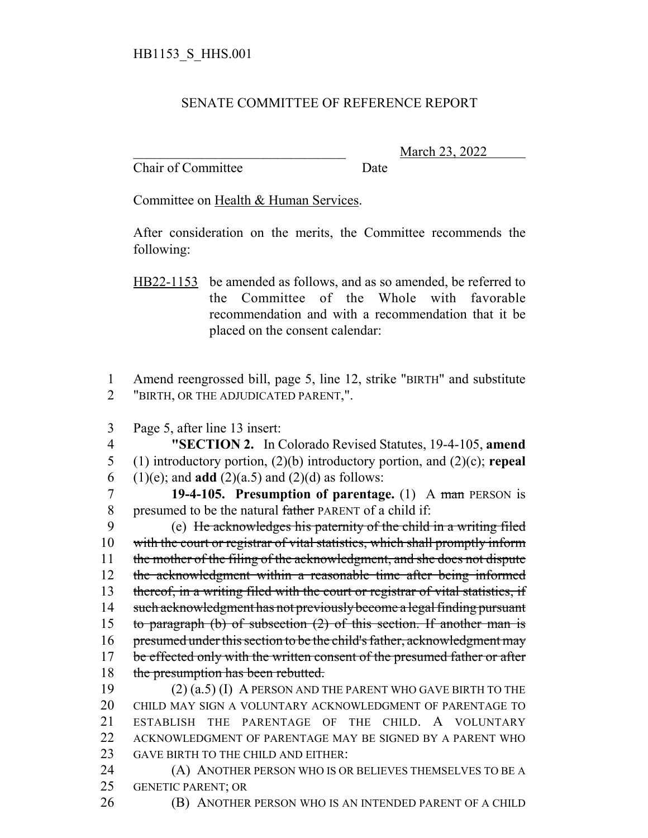## SENATE COMMITTEE OF REFERENCE REPORT

Chair of Committee Date

\_\_\_\_\_\_\_\_\_\_\_\_\_\_\_\_\_\_\_\_\_\_\_\_\_\_\_\_\_\_\_ March 23, 2022

Committee on Health & Human Services.

After consideration on the merits, the Committee recommends the following:

1 Amend reengrossed bill, page 5, line 12, strike "BIRTH" and substitute 2 "BIRTH, OR THE ADJUDICATED PARENT,".

3 Page 5, after line 13 insert:

4 **"SECTION 2.** In Colorado Revised Statutes, 19-4-105, **amend** 5 (1) introductory portion, (2)(b) introductory portion, and (2)(c); **repeal** 6 (1)(e); and **add** (2)(a.5) and (2)(d) as follows:

7 **19-4-105. Presumption of parentage.** (1) A man PERSON is 8 presumed to be the natural father PARENT of a child if:

9 (e) He acknowledges his paternity of the child in a writing filed 10 with the court or registrar of vital statistics, which shall promptly inform 11 the mother of the filing of the acknowledgment, and she does not dispute 12 the acknowledgment within a reasonable time after being informed 13 thereof, in a writing filed with the court or registrar of vital statistics, if 14 such acknowledgment has not previously become a legal finding pursuant 15 to paragraph (b) of subsection  $(2)$  of this section. If another man is 16 presumed under this section to be the child's father, acknowledgment may 17 be effected only with the written consent of the presumed father or after 18 the presumption has been rebutted.

 (2) (a.5) (I) A PERSON AND THE PARENT WHO GAVE BIRTH TO THE CHILD MAY SIGN A VOLUNTARY ACKNOWLEDGMENT OF PARENTAGE TO ESTABLISH THE PARENTAGE OF THE CHILD. A VOLUNTARY ACKNOWLEDGMENT OF PARENTAGE MAY BE SIGNED BY A PARENT WHO 23 GAVE BIRTH TO THE CHILD AND EITHER:

24 (A) ANOTHER PERSON WHO IS OR BELIEVES THEMSELVES TO BE A 25 GENETIC PARENT; OR

26 (B) ANOTHER PERSON WHO IS AN INTENDED PARENT OF A CHILD

HB22-1153 be amended as follows, and as so amended, be referred to the Committee of the Whole with favorable recommendation and with a recommendation that it be placed on the consent calendar: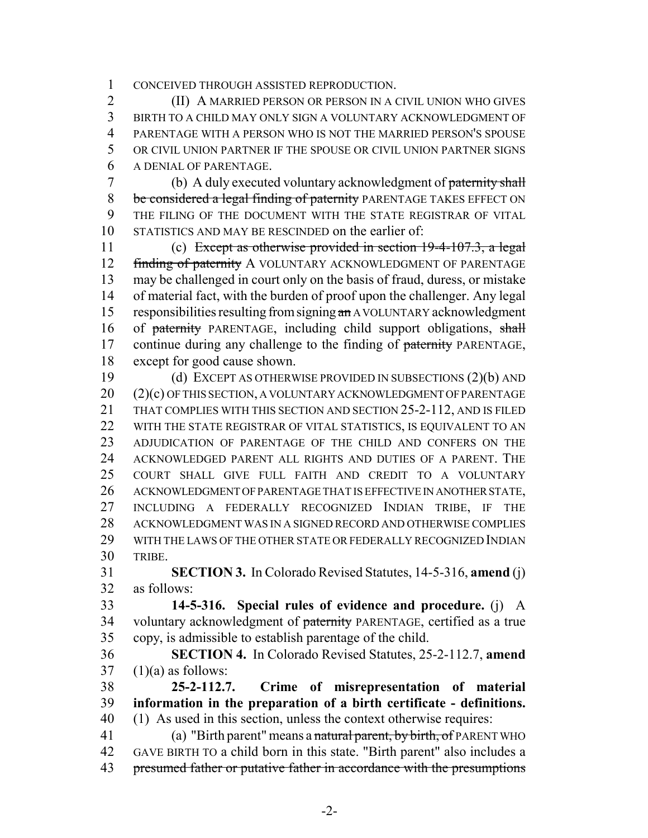CONCEIVED THROUGH ASSISTED REPRODUCTION.

 (II) A MARRIED PERSON OR PERSON IN A CIVIL UNION WHO GIVES BIRTH TO A CHILD MAY ONLY SIGN A VOLUNTARY ACKNOWLEDGMENT OF PARENTAGE WITH A PERSON WHO IS NOT THE MARRIED PERSON'S SPOUSE OR CIVIL UNION PARTNER IF THE SPOUSE OR CIVIL UNION PARTNER SIGNS A DENIAL OF PARENTAGE.

 (b) A duly executed voluntary acknowledgment of paternity shall 8 be considered a legal finding of paternity PARENTAGE TAKES EFFECT ON THE FILING OF THE DOCUMENT WITH THE STATE REGISTRAR OF VITAL STATISTICS AND MAY BE RESCINDED on the earlier of:

 (c) Except as otherwise provided in section 19-4-107.3, a legal 12 finding of paternity A VOLUNTARY ACKNOWLEDGMENT OF PARENTAGE may be challenged in court only on the basis of fraud, duress, or mistake of material fact, with the burden of proof upon the challenger. Any legal 15 responsibilities resulting from signing an AVOLUNTARY acknowledgment 16 of paternity PARENTAGE, including child support obligations, shall 17 continue during any challenge to the finding of paternity PARENTAGE, except for good cause shown.

 (d) EXCEPT AS OTHERWISE PROVIDED IN SUBSECTIONS (2)(b) AND (2)(c) OF THIS SECTION, A VOLUNTARY ACKNOWLEDGMENT OF PARENTAGE THAT COMPLIES WITH THIS SECTION AND SECTION 25-2-112, AND IS FILED WITH THE STATE REGISTRAR OF VITAL STATISTICS, IS EQUIVALENT TO AN ADJUDICATION OF PARENTAGE OF THE CHILD AND CONFERS ON THE ACKNOWLEDGED PARENT ALL RIGHTS AND DUTIES OF A PARENT. THE COURT SHALL GIVE FULL FAITH AND CREDIT TO A VOLUNTARY ACKNOWLEDGMENT OF PARENTAGE THAT IS EFFECTIVE IN ANOTHER STATE, INCLUDING A FEDERALLY RECOGNIZED INDIAN TRIBE, IF THE ACKNOWLEDGMENT WAS IN A SIGNED RECORD AND OTHERWISE COMPLIES WITH THE LAWS OF THE OTHER STATE OR FEDERALLY RECOGNIZED INDIAN TRIBE.

 **SECTION 3.** In Colorado Revised Statutes, 14-5-316, **amend** (j) as follows:

 **14-5-316. Special rules of evidence and procedure.** (j) A 34 voluntary acknowledgment of paternity PARENTAGE, certified as a true copy, is admissible to establish parentage of the child.

 **SECTION 4.** In Colorado Revised Statutes, 25-2-112.7, **amend**  $37 \quad (1)(a)$  as follows:

 **25-2-112.7. Crime of misrepresentation of material information in the preparation of a birth certificate - definitions.** (1) As used in this section, unless the context otherwise requires:

41 (a) "Birth parent" means a natural parent, by birth, of PARENT WHO GAVE BIRTH TO a child born in this state. "Birth parent" also includes a 43 presumed father or putative father in accordance with the presumptions